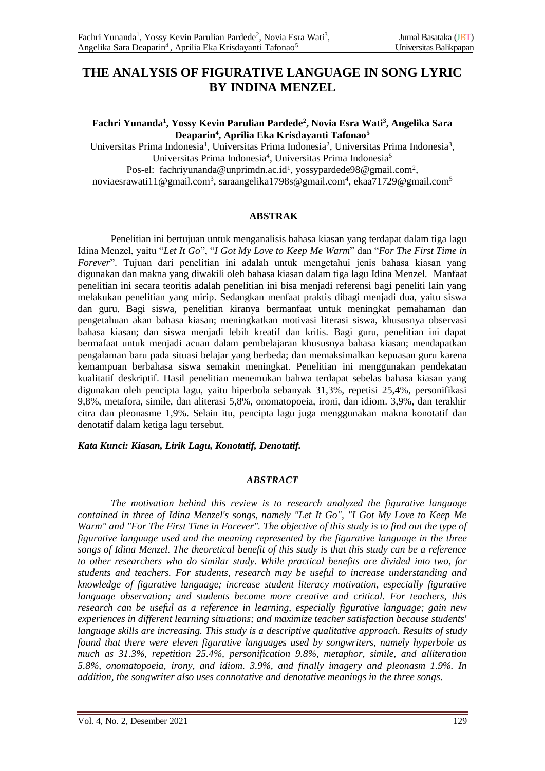# **THE ANALYSIS OF FIGURATIVE LANGUAGE IN SONG LYRIC BY INDINA MENZEL**

#### **Fachri Yunanda<sup>1</sup> , Yossy Kevin Parulian Pardede<sup>2</sup> , Novia Esra Wati<sup>3</sup> , Angelika Sara Deaparin<sup>4</sup> , Aprilia Eka Krisdayanti Tafonao<sup>5</sup>**

Universitas Prima Indonesia<sup>1</sup>, Universitas Prima Indonesia<sup>2</sup>, Universitas Prima Indonesia<sup>3</sup>, Universitas Prima Indonesia<sup>4</sup>, Universitas Prima Indonesia<sup>5</sup> Pos-el: [fachriyunanda@unprimdn.ac.id](mailto:%20fachriyunanda@unprimdn.ac.id1)<sup>1</sup>, [yossypardede98@gmail.com](mailto:yossypardede98@gmail.com)<sup>2</sup>, [noviaesrawati11@gmail.com](mailto:noviaesrawati11@gmail.com3)<sup>3</sup>, [saraangelika1798s@gmail.com](mailto:saraangelika1798s@gmail.com4)<sup>4</sup>, [ekaa71729@gmail.com](mailto:ekaa71729@gmail.com5)<sup>5</sup>

### **ABSTRAK**

Penelitian ini bertujuan untuk menganalisis bahasa kiasan yang terdapat dalam tiga lagu Idina Menzel, yaitu "*Let It Go*", "*I Got My Love to Keep Me Warm*" dan "*For The First Time in Forever*". Tujuan dari penelitian ini adalah untuk mengetahui jenis bahasa kiasan yang digunakan dan makna yang diwakili oleh bahasa kiasan dalam tiga lagu Idina Menzel. Manfaat penelitian ini secara teoritis adalah penelitian ini bisa menjadi referensi bagi peneliti lain yang melakukan penelitian yang mirip. Sedangkan menfaat praktis dibagi menjadi dua, yaitu siswa dan guru. Bagi siswa, penelitian kiranya bermanfaat untuk meningkat pemahaman dan pengetahuan akan bahasa kiasan; meningkatkan motivasi literasi siswa, khususnya observasi bahasa kiasan; dan siswa menjadi lebih kreatif dan kritis. Bagi guru, penelitian ini dapat bermafaat untuk menjadi acuan dalam pembelajaran khususnya bahasa kiasan; mendapatkan pengalaman baru pada situasi belajar yang berbeda; dan memaksimalkan kepuasan guru karena kemampuan berbahasa siswa semakin meningkat. Penelitian ini menggunakan pendekatan kualitatif deskriptif. Hasil penelitian menemukan bahwa terdapat sebelas bahasa kiasan yang digunakan oleh pencipta lagu, yaitu hiperbola sebanyak 31,3%, repetisi 25,4%, personifikasi 9,8%, metafora, simile, dan aliterasi 5,8%, onomatopoeia, ironi, dan idiom. 3,9%, dan terakhir citra dan pleonasme 1,9%. Selain itu, pencipta lagu juga menggunakan makna konotatif dan denotatif dalam ketiga lagu tersebut.

#### *Kata Kunci: Kiasan, Lirik Lagu, Konotatif, Denotatif.*

### *ABSTRACT*

*The motivation behind this review is to research analyzed the figurative language contained in three of Idina Menzel's songs, namely "Let It Go", "I Got My Love to Keep Me Warm" and "For The First Time in Forever". The objective of this study is to find out the type of figurative language used and the meaning represented by the figurative language in the three songs of Idina Menzel. The theoretical benefit of this study is that this study can be a reference to other researchers who do similar study. While practical benefits are divided into two, for students and teachers. For students, research may be useful to increase understanding and knowledge of figurative language; increase student literacy motivation, especially figurative language observation; and students become more creative and critical. For teachers, this research can be useful as a reference in learning, especially figurative language; gain new experiences in different learning situations; and maximize teacher satisfaction because students' language skills are increasing. This study is a descriptive qualitative approach. Results of study found that there were eleven figurative languages used by songwriters, namely hyperbole as much as 31.3%, repetition 25.4%, personification 9.8%, metaphor, simile, and alliteration 5.8%, onomatopoeia, irony, and idiom. 3.9%, and finally imagery and pleonasm 1.9%. In addition, the songwriter also uses connotative and denotative meanings in the three songs.*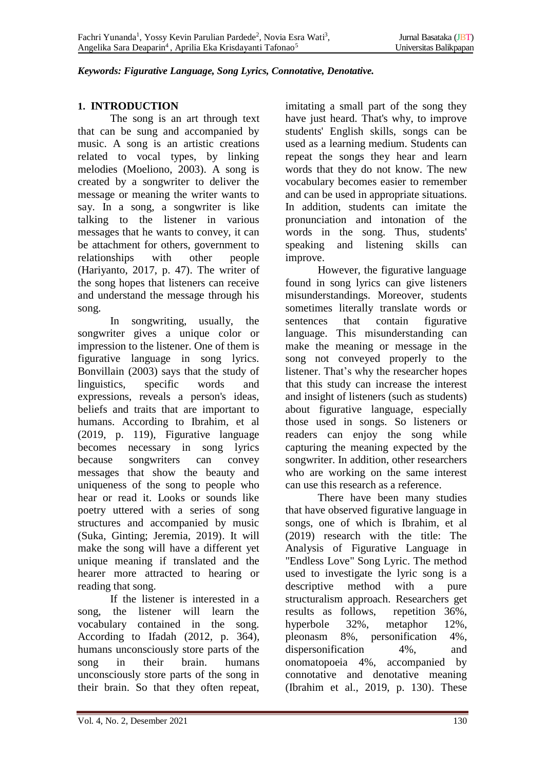#### *Keywords: Figurative Language, Song Lyrics, Connotative, Denotative.*

### **1. INTRODUCTION**

The song is an art through text that can be sung and accompanied by music. A song is an artistic creations related to vocal types, by linking melodies (Moeliono, 2003). A song is created by a songwriter to deliver the message or meaning the writer wants to say. In a song, a songwriter is like talking to the listener in various messages that he wants to convey, it can be attachment for others, government to relationships with other people (Hariyanto, 2017, p. 47). The writer of the song hopes that listeners can receive and understand the message through his song.

In songwriting, usually, the songwriter gives a unique color or impression to the listener. One of them is figurative language in song lyrics. Bonvillain (2003) says that the study of linguistics, specific words and expressions, reveals a person's ideas, beliefs and traits that are important to humans. According to Ibrahim, et al (2019, p. 119), Figurative language becomes necessary in song lyrics because songwriters can convey messages that show the beauty and uniqueness of the song to people who hear or read it. Looks or sounds like poetry uttered with a series of song structures and accompanied by music (Suka, Ginting; Jeremia, 2019). It will make the song will have a different yet unique meaning if translated and the hearer more attracted to hearing or reading that song.

If the listener is interested in a song, the listener will learn the vocabulary contained in the song. According to Ifadah (2012, p. 364), humans unconsciously store parts of the song in their brain. humans unconsciously store parts of the song in their brain. So that they often repeat,

imitating a small part of the song they have just heard. That's why, to improve students' English skills, songs can be used as a learning medium. Students can repeat the songs they hear and learn words that they do not know. The new vocabulary becomes easier to remember and can be used in appropriate situations. In addition, students can imitate the pronunciation and intonation of the words in the song. Thus, students' speaking and listening skills can improve.

However, the figurative language found in song lyrics can give listeners misunderstandings. Moreover, students sometimes literally translate words or sentences that contain figurative language. This misunderstanding can make the meaning or message in the song not conveyed properly to the listener. That's why the researcher hopes that this study can increase the interest and insight of listeners (such as students) about figurative language, especially those used in songs. So listeners or readers can enjoy the song while capturing the meaning expected by the songwriter. In addition, other researchers who are working on the same interest can use this research as a reference.

There have been many studies that have observed figurative language in songs, one of which is Ibrahim, et al (2019) research with the title: The Analysis of Figurative Language in "Endless Love" Song Lyric. The method used to investigate the lyric song is a descriptive method with a pure structuralism approach. Researchers get results as follows, repetition 36%, hyperbole 32%, metaphor 12%, pleonasm 8%, personification 4%, dispersonification 4%, and onomatopoeia 4%, accompanied by connotative and denotative meaning (Ibrahim et al., 2019, p. 130). These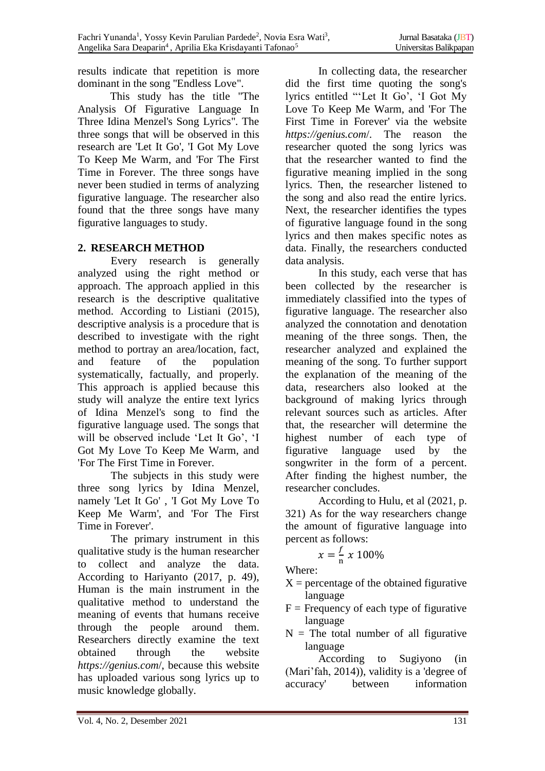results indicate that repetition is more dominant in the song "Endless Love".

This study has the title "The Analysis Of Figurative Language In Three Idina Menzel's Song Lyrics". The three songs that will be observed in this research are 'Let It Go', 'I Got My Love To Keep Me Warm, and 'For The First Time in Forever. The three songs have never been studied in terms of analyzing figurative language. The researcher also found that the three songs have many figurative languages to study.

## **2. RESEARCH METHOD**

Every research is generally analyzed using the right method or approach. The approach applied in this research is the descriptive qualitative method. According to Listiani (2015), descriptive analysis is a procedure that is described to investigate with the right method to portray an area/location, fact, and feature of the population systematically, factually, and properly. This approach is applied because this study will analyze the entire text lyrics of Idina Menzel's song to find the figurative language used. The songs that will be observed include 'Let It Go', 'I Got My Love To Keep Me Warm, and 'For The First Time in Forever.

The subjects in this study were three song lyrics by Idina Menzel, namely 'Let It Go' , 'I Got My Love To Keep Me Warm', and 'For The First Time in Forever'.

The primary instrument in this qualitative study is the human researcher to collect and analyze the data. According to Hariyanto (2017, p. 49), Human is the main instrument in the qualitative method to understand the meaning of events that humans receive through the people around them. Researchers directly examine the text obtained through the website *[https://genius.com](https://genius.com/)*[/,](https://genius.com/) because this website has uploaded various song lyrics up to music knowledge globally.

In collecting data, the researcher did the first time quoting the song's lyrics entitled "'Let It Go', 'I Got My Love To Keep Me Warm, and 'For The First Time in Forever' via the website *[https://genius.com](https://genius.com/)*[/.](https://genius.com/) The reason the researcher quoted the song lyrics was that the researcher wanted to find the figurative meaning implied in the song lyrics. Then, the researcher listened to the song and also read the entire lyrics. Next, the researcher identifies the types of figurative language found in the song lyrics and then makes specific notes as data. Finally, the researchers conducted data analysis.

In this study, each verse that has been collected by the researcher is immediately classified into the types of figurative language. The researcher also analyzed the connotation and denotation meaning of the three songs. Then, the researcher analyzed and explained the meaning of the song. To further support the explanation of the meaning of the data, researchers also looked at the background of making lyrics through relevant sources such as articles. After that, the researcher will determine the highest number of each type of figurative language used by the songwriter in the form of a percent. After finding the highest number, the researcher concludes.

According to Hulu, et al (2021, p. 321) As for the way researchers change the amount of figurative language into percent as follows:

#### $x=\frac{f}{x}$  $\frac{1}{n} \times 100\%$

Where:

- $X =$  percentage of the obtained figurative language
- $F =$  Frequency of each type of figurative language
- $N =$  The total number of all figurative language

According to Sugiyono (in (Mari'fah, 2014)), validity is a 'degree of accuracy' between information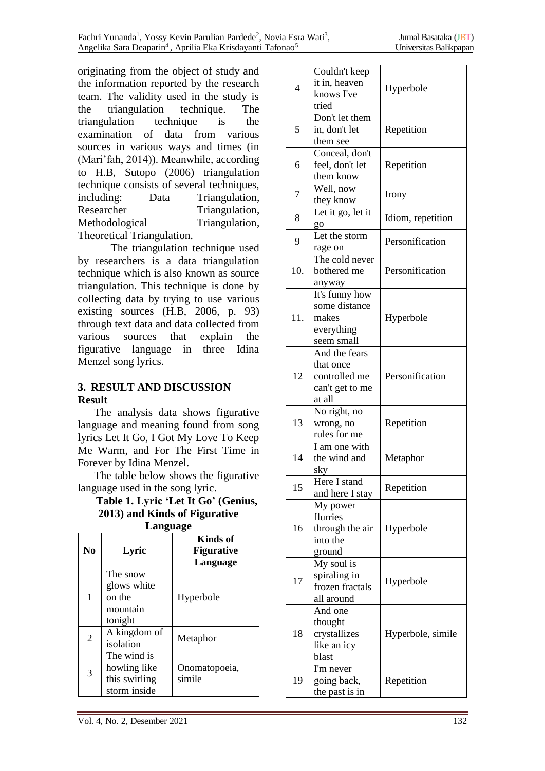originating from the object of study and the information reported by the research team. The validity used in the study is the triangulation technique. The triangulation technique is the examination of data from various sources in various ways and times (in (Mari'fah, 2014)). Meanwhile, according to H.B, Sutopo (2006) triangulation technique consists of several techniques, including: Data Triangulation, Researcher Triangulation, Methodological Triangulation, Theoretical Triangulation.

The triangulation technique used by researchers is a data triangulation technique which is also known as source triangulation. This technique is done by collecting data by trying to use various existing sources (H.B, 2006, p. 93) through text data and data collected from various sources that explain the figurative language in three Idina Menzel song lyrics.

### **3. RESULT AND DISCUSSION Result**

The analysis data shows figurative language and meaning found from song lyrics Let It Go, I Got My Love To Keep Me Warm, and For The First Time in Forever by Idina Menzel.

The table below shows the figurative language used in the song lyric.

#### **Table 1. Lyric 'Let It Go' (Genius, 2013) and Kinds of Figurative Language**

| Language       |                                                              |                                           |
|----------------|--------------------------------------------------------------|-------------------------------------------|
| N <sub>0</sub> | Lyric                                                        | Kinds of<br><b>Figurative</b><br>Language |
| 1              | The snow<br>glows white<br>on the<br>mountain<br>tonight     | Hyperbole                                 |
| $\overline{2}$ | A kingdom of<br>isolation                                    | Metaphor                                  |
| 3              | The wind is<br>howling like<br>this swirling<br>storm inside | Onomatopoeia,<br>simile                   |

| $\overline{4}$ | Couldn't keep<br>it in, heaven<br>knows I've<br>tried                    | Hyperbole         |
|----------------|--------------------------------------------------------------------------|-------------------|
| 5              | Don't let them<br>in, don't let<br>them see                              | Repetition        |
| 6              | Conceal, don't<br>feel, don't let<br>them know                           | Repetition        |
| 7              | Well, now<br>they know                                                   | Irony             |
| 8              | Let it go, let it<br>go                                                  | Idiom, repetition |
| 9              | Let the storm<br>rage on                                                 | Personification   |
| 10.            | The cold never<br>bothered me<br>anyway                                  | Personification   |
| 11.            | It's funny how<br>some distance<br>makes<br>everything<br>seem small     | Hyperbole         |
| 12             | And the fears<br>that once<br>controlled me<br>can't get to me<br>at all | Personification   |
| 13             | No right, no<br>wrong, no<br>rules for me                                | Repetition        |
| 14             | I am one with<br>the wind and<br>skv                                     | Metaphor          |
| 15             | Here I stand<br>and here I stay                                          | Repetition        |
| 16             | My power<br>flurries<br>through the air<br>into the<br>ground            | Hyperbole         |
| 17             | My soul is<br>spiraling in<br>frozen fractals<br>all around              | Hyperbole         |
| 18             | And one<br>thought<br>crystallizes<br>like an icy<br>blast               | Hyperbole, simile |
| 19             | I'm never<br>going back,<br>the past is in                               | Repetition        |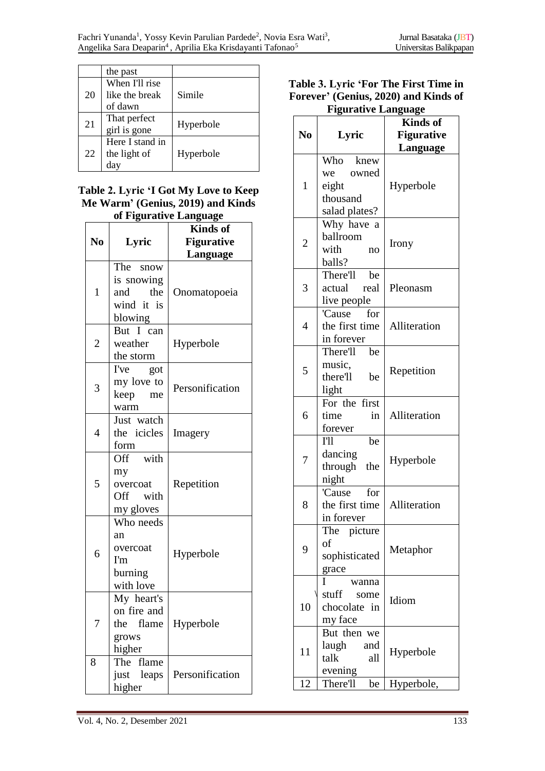|    | the past                                    |           |
|----|---------------------------------------------|-----------|
| 20 | When I'll rise<br>like the break<br>of dawn | Simile    |
| 21 | That perfect<br>girl is gone                | Hyperbole |
| 22 | Here I stand in<br>the light of<br>da       | Hyperbole |

#### **Table 2. Lyric 'I Got My Love to Keep Me Warm' (Genius, 2019) and Kinds of Figurative Language**

| ui rīgui atrvē Language |              |                   |  |
|-------------------------|--------------|-------------------|--|
|                         |              | <b>Kinds</b> of   |  |
| N <sub>0</sub>          | Lyric        | <b>Figurative</b> |  |
|                         |              | Language          |  |
|                         | The snow     |                   |  |
|                         | is snowing   |                   |  |
| $\mathbf{1}$            | the<br>and   | Onomatopoeia      |  |
|                         | wind it is   |                   |  |
|                         | blowing      |                   |  |
|                         | But I can    |                   |  |
| $\overline{c}$          | weather      | Hyperbole         |  |
|                         | the storm    |                   |  |
|                         | I've<br>got  |                   |  |
| 3                       | my love to   | Personification   |  |
|                         | keep<br>me   |                   |  |
|                         | warm         |                   |  |
| $\overline{4}$          | Just watch   |                   |  |
|                         | the icicles  | Imagery           |  |
|                         | form         |                   |  |
|                         | Off with     |                   |  |
|                         | my           |                   |  |
| 5                       | overcoat     | Repetition        |  |
|                         | Off with     |                   |  |
|                         | my gloves    |                   |  |
|                         | Who needs    |                   |  |
|                         | an           |                   |  |
|                         | overcoat     |                   |  |
| 6                       | I'm          | Hyperbole         |  |
|                         | burning      |                   |  |
|                         | with love    |                   |  |
|                         | My heart's   |                   |  |
|                         | on fire and  |                   |  |
|                         | the flame    | Hyperbole         |  |
|                         | grows        |                   |  |
|                         | higher       |                   |  |
| 8                       | The<br>flame |                   |  |
|                         | just leaps   | Personification   |  |
|                         | higher       |                   |  |
|                         |              |                   |  |

### **Table 3. Lyric 'For The First Time in Forever' (Genius, 2020) and Kinds of Figurative Language**

|                |                 | <b>Kinds</b> of   |
|----------------|-----------------|-------------------|
| N <sub>0</sub> | Lyric           | <b>Figurative</b> |
|                |                 | Language          |
| $\mathbf{1}$   | Who knew        |                   |
|                | we owned        |                   |
|                | eight           | Hyperbole         |
|                | thousand        |                   |
|                | salad plates?   |                   |
|                | Why have a      |                   |
| $\overline{2}$ | ballroom        | Irony             |
|                | with<br>no      |                   |
|                | balls?          |                   |
|                | There'll be     |                   |
| 3              | actual<br>real  | Pleonasm          |
|                | live people     |                   |
|                | for<br>'Cause   |                   |
| 4              | the first time  | Alliteration      |
|                | in forever      |                   |
|                | There'll<br>be  |                   |
| 5              | music,          | Repetition        |
|                | there'll<br>be  |                   |
|                | light           |                   |
|                | For the first   |                   |
| 6              | time<br>in      | Alliteration      |
|                | forever         |                   |
|                | T11<br>be       |                   |
| 7              | dancing         | Hyperbole         |
|                | through<br>the  |                   |
|                | night           |                   |
|                | 'Cause for      |                   |
| 8              | the first time  | Alliteration      |
|                | in forever      |                   |
|                | The<br>picture  |                   |
| 9              | of              | Metaphor          |
|                | sophisticated   |                   |
|                | grace           |                   |
|                | L<br>wanna      |                   |
|                | stuff<br>some   | Idiom             |
| 10             | chocolate<br>in |                   |
|                | my face         |                   |
|                | But then we     |                   |
| 11             | laugh<br>and    | Hyperbole         |
|                | talk<br>all     |                   |
|                | evening         |                   |
| 12             | There'll<br>be  | Hyperbole,        |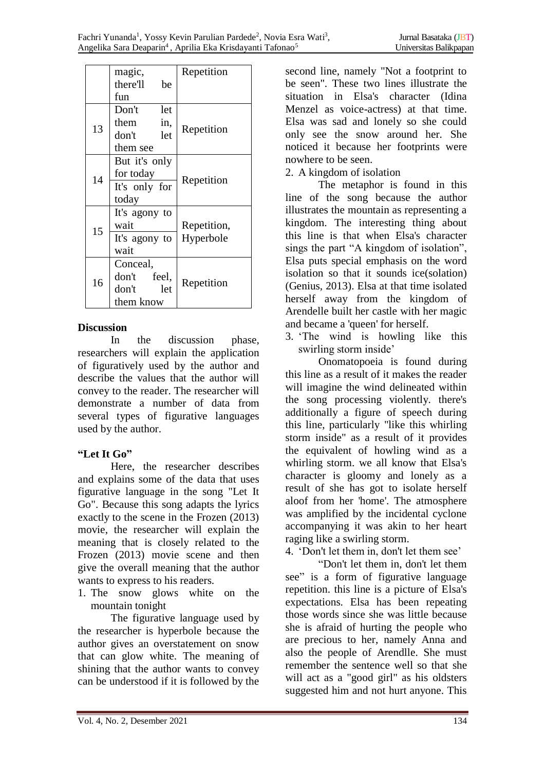|    | magic,<br>there'll<br>be<br>fun                             | Repetition               |
|----|-------------------------------------------------------------|--------------------------|
| 13 | Don't<br>let<br>them<br>in,<br>don't<br>let<br>them see     | Repetition               |
| 14 | But it's only<br>for today<br>It's only for<br>today        | Repetition               |
| 15 | It's agony to<br>wait<br>It's agony to<br>wait              | Repetition,<br>Hyperbole |
| 16 | Conceal,<br>don't feel,<br>don't<br><b>let</b><br>them know | Repetition               |

### **Discussion**

In the discussion phase, researchers will explain the application of figuratively used by the author and describe the values that the author will convey to the reader. The researcher will demonstrate a number of data from several types of figurative languages used by the author.

# **"Let It Go"**

Here, the researcher describes and explains some of the data that uses figurative language in the song "Let It Go". Because this song adapts the lyrics exactly to the scene in the Frozen (2013) movie, the researcher will explain the meaning that is closely related to the Frozen (2013) movie scene and then give the overall meaning that the author wants to express to his readers.

1. The snow glows white on the mountain tonight

The figurative language used by the researcher is hyperbole because the author gives an overstatement on snow that can glow white. The meaning of shining that the author wants to convey can be understood if it is followed by the second line, namely "Not a footprint to be seen". These two lines illustrate the situation in Elsa's character (Idina Menzel as voice-actress) at that time. Elsa was sad and lonely so she could only see the snow around her. She noticed it because her footprints were nowhere to be seen.

2. A kingdom of isolation

The metaphor is found in this line of the song because the author illustrates the mountain as representing a kingdom. The interesting thing about this line is that when Elsa's character sings the part "A kingdom of isolation", Elsa puts special emphasis on the word isolation so that it sounds ice(solation) (Genius, 2013). Elsa at that time isolated herself away from the kingdom of Arendelle built her castle with her magic and became a 'queen' for herself.

3. 'The wind is howling like this swirling storm inside'

Onomatopoeia is found during this line as a result of it makes the reader will imagine the wind delineated within the song processing violently. there's additionally a figure of speech during this line, particularly "like this whirling storm inside" as a result of it provides the equivalent of howling wind as a whirling storm. we all know that Elsa's character is gloomy and lonely as a result of she has got to isolate herself aloof from her 'home'. The atmosphere was amplified by the incidental cyclone accompanying it was akin to her heart raging like a swirling storm.

4. 'Don't let them in, don't let them see'

"Don't let them in, don't let them see" is a form of figurative language repetition. this line is a picture of Elsa's expectations. Elsa has been repeating those words since she was little because she is afraid of hurting the people who are precious to her, namely Anna and also the people of Arendlle. She must remember the sentence well so that she will act as a "good girl" as his oldsters suggested him and not hurt anyone. This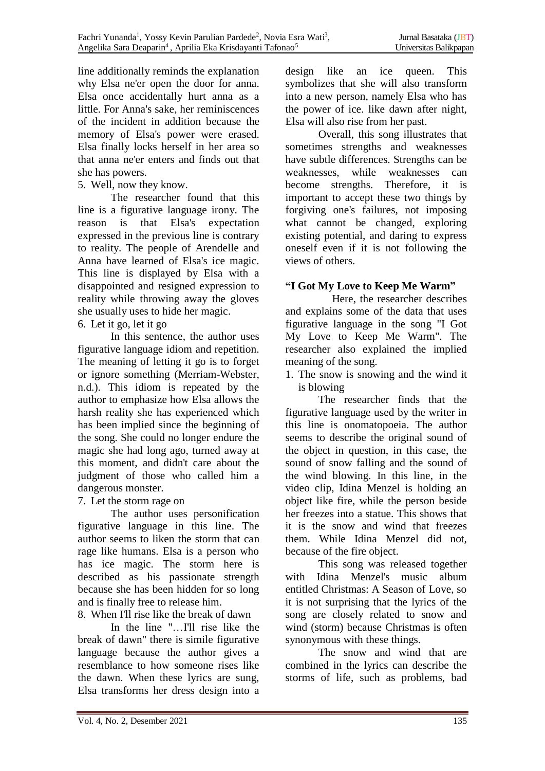line additionally reminds the explanation why Elsa ne'er open the door for anna. Elsa once accidentally hurt anna as a little. For Anna's sake, her reminiscences of the incident in addition because the memory of Elsa's power were erased. Elsa finally locks herself in her area so that anna ne'er enters and finds out that she has powers.

5. Well, now they know.

The researcher found that this line is a figurative language irony. The reason is that Elsa's expectation expressed in the previous line is contrary to reality. The people of Arendelle and Anna have learned of Elsa's ice magic. This line is displayed by Elsa with a disappointed and resigned expression to reality while throwing away the gloves she usually uses to hide her magic.

6. Let it go, let it go

In this sentence, the author uses figurative language idiom and repetition. The meaning of letting it go is to forget or ignore something (Merriam-Webster, n.d.). This idiom is repeated by the author to emphasize how Elsa allows the harsh reality she has experienced which has been implied since the beginning of the song. She could no longer endure the magic she had long ago, turned away at this moment, and didn't care about the judgment of those who called him a dangerous monster.

7. Let the storm rage on

The author uses personification figurative language in this line. The author seems to liken the storm that can rage like humans. Elsa is a person who has ice magic. The storm here is described as his passionate strength because she has been hidden for so long and is finally free to release him.

8. When I'll rise like the break of dawn

In the line "...I'll rise like the break of dawn" there is simile figurative language because the author gives a resemblance to how someone rises like the dawn. When these lyrics are sung, Elsa transforms her dress design into a

design like an ice queen. This symbolizes that she will also transform into a new person, namely Elsa who has the power of ice. like dawn after night, Elsa will also rise from her past.

Overall, this song illustrates that sometimes strengths and weaknesses have subtle differences. Strengths can be weaknesses, while weaknesses can become strengths. Therefore, it is important to accept these two things by forgiving one's failures, not imposing what cannot be changed, exploring existing potential, and daring to express oneself even if it is not following the views of others.

# **"I Got My Love to Keep Me Warm"**

 Here, the researcher describes and explains some of the data that uses figurative language in the song "I Got My Love to Keep Me Warm". The researcher also explained the implied meaning of the song.

1. The snow is snowing and the wind it is blowing

The researcher finds that the figurative language used by the writer in this line is onomatopoeia. The author seems to describe the original sound of the object in question, in this case, the sound of snow falling and the sound of the wind blowing. In this line, in the video clip, Idina Menzel is holding an object like fire, while the person beside her freezes into a statue. This shows that it is the snow and wind that freezes them. While Idina Menzel did not, because of the fire object.

This song was released together with Idina Menzel's music album entitled Christmas: A Season of Love, so it is not surprising that the lyrics of the song are closely related to snow and wind (storm) because Christmas is often synonymous with these things.

The snow and wind that are combined in the lyrics can describe the storms of life, such as problems, bad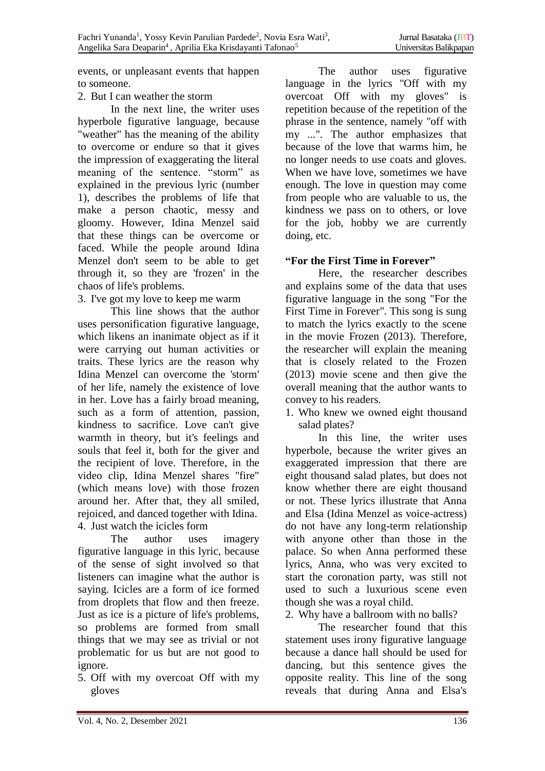events, or unpleasant events that happen to someone.

## 2. But I can weather the storm

In the next line, the writer uses hyperbole figurative language, because "weather" has the meaning of the ability to overcome or endure so that it gives the impression of exaggerating the literal meaning of the sentence. "storm" as explained in the previous lyric (number 1), describes the problems of life that make a person chaotic, messy and gloomy. However, Idina Menzel said that these things can be overcome or faced. While the people around Idina Menzel don't seem to be able to get through it, so they are 'frozen' in the chaos of life's problems.

3. I've got my love to keep me warm

This line shows that the author uses personification figurative language, which likens an inanimate object as if it were carrying out human activities or traits. These lyrics are the reason why Idina Menzel can overcome the 'storm' of her life, namely the existence of love in her. Love has a fairly broad meaning, such as a form of attention, passion, kindness to sacrifice. Love can't give warmth in theory, but it's feelings and souls that feel it, both for the giver and the recipient of love. Therefore, in the video clip, Idina Menzel shares "fire" (which means love) with those frozen around her. After that, they all smiled, rejoiced, and danced together with Idina. 4. Just watch the icicles form

The author uses imagery figurative language in this lyric, because of the sense of sight involved so that listeners can imagine what the author is saying. Icicles are a form of ice formed from droplets that flow and then freeze. Just as ice is a picture of life's problems, so problems are formed from small things that we may see as trivial or not problematic for us but are not good to ignore.

5. Off with my overcoat Off with my gloves

The author uses figurative language in the lyrics "Off with my overcoat Off with my gloves" is repetition because of the repetition of the phrase in the sentence, namely "off with my ...". The author emphasizes that because of the love that warms him, he no longer needs to use coats and gloves. When we have love, sometimes we have enough. The love in question may come from people who are valuable to us, the kindness we pass on to others, or love for the job, hobby we are currently doing, etc.

## **"For the First Time in Forever"**

Here, the researcher describes and explains some of the data that uses figurative language in the song "For the First Time in Forever". This song is sung to match the lyrics exactly to the scene in the movie Frozen (2013). Therefore, the researcher will explain the meaning that is closely related to the Frozen (2013) movie scene and then give the overall meaning that the author wants to convey to his readers.

1. Who knew we owned eight thousand salad plates?

In this line, the writer uses hyperbole, because the writer gives an exaggerated impression that there are eight thousand salad plates, but does not know whether there are eight thousand or not. These lyrics illustrate that Anna and Elsa (Idina Menzel as voice-actress) do not have any long-term relationship with anyone other than those in the palace. So when Anna performed these lyrics, Anna, who was very excited to start the coronation party, was still not used to such a luxurious scene even though she was a royal child.

2. Why have a ballroom with no balls?

The researcher found that this statement uses irony figurative language because a dance hall should be used for dancing, but this sentence gives the opposite reality. This line of the song reveals that during Anna and Elsa's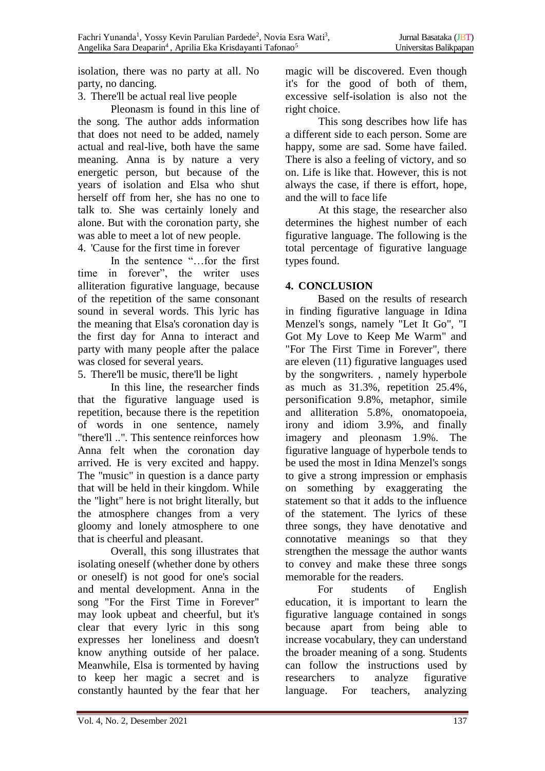isolation, there was no party at all. No party, no dancing.

3. There'll be actual real live people

Pleonasm is found in this line of the song. The author adds information that does not need to be added, namely actual and real-live, both have the same meaning. Anna is by nature a very energetic person, but because of the years of isolation and Elsa who shut herself off from her, she has no one to talk to. She was certainly lonely and alone. But with the coronation party, she was able to meet a lot of new people.

4. 'Cause for the first time in forever

In the sentence "…for the first time in forever", the writer uses alliteration figurative language, because of the repetition of the same consonant sound in several words. This lyric has the meaning that Elsa's coronation day is the first day for Anna to interact and party with many people after the palace was closed for several years.

5. There'll be music, there'll be light

In this line, the researcher finds that the figurative language used is repetition, because there is the repetition of words in one sentence, namely "there'll ..". This sentence reinforces how Anna felt when the coronation day arrived. He is very excited and happy. The "music" in question is a dance party that will be held in their kingdom. While the "light" here is not bright literally, but the atmosphere changes from a very gloomy and lonely atmosphere to one that is cheerful and pleasant.

Overall, this song illustrates that isolating oneself (whether done by others or oneself) is not good for one's social and mental development. Anna in the song "For the First Time in Forever" may look upbeat and cheerful, but it's clear that every lyric in this song expresses her loneliness and doesn't know anything outside of her palace. Meanwhile, Elsa is tormented by having to keep her magic a secret and is constantly haunted by the fear that her magic will be discovered. Even though it's for the good of both of them, excessive self-isolation is also not the right choice.

This song describes how life has a different side to each person. Some are happy, some are sad. Some have failed. There is also a feeling of victory, and so on. Life is like that. However, this is not always the case, if there is effort, hope, and the will to face life

At this stage, the researcher also determines the highest number of each figurative language. The following is the total percentage of figurative language types found.

# **4. CONCLUSION**

Based on the results of research in finding figurative language in Idina Menzel's songs, namely "Let It Go", "I Got My Love to Keep Me Warm" and "For The First Time in Forever", there are eleven (11) figurative languages used by the songwriters. , namely hyperbole as much as 31.3%, repetition 25.4%, personification 9.8%, metaphor, simile and alliteration 5.8%, onomatopoeia, irony and idiom 3.9%, and finally imagery and pleonasm 1.9%. The figurative language of hyperbole tends to be used the most in Idina Menzel's songs to give a strong impression or emphasis on something by exaggerating the statement so that it adds to the influence of the statement. The lyrics of these three songs, they have denotative and connotative meanings so that they strengthen the message the author wants to convey and make these three songs memorable for the readers.

For students of English education, it is important to learn the figurative language contained in songs because apart from being able to increase vocabulary, they can understand the broader meaning of a song. Students can follow the instructions used by researchers to analyze figurative language. For teachers, analyzing